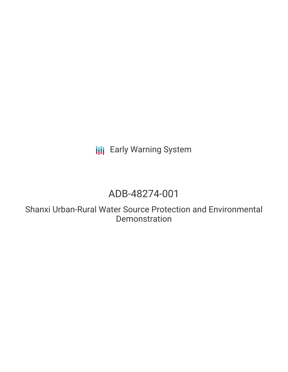**III** Early Warning System

# ADB-48274-001

Shanxi Urban-Rural Water Source Protection and Environmental Demonstration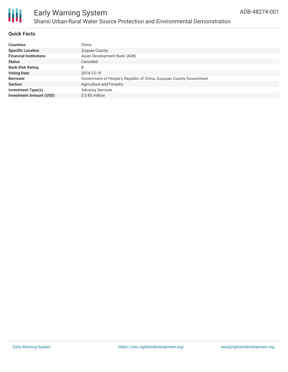

### **Quick Facts**

| <b>Countries</b>               | China                                                               |
|--------------------------------|---------------------------------------------------------------------|
| <b>Specific Location</b>       | Zuguan County                                                       |
| <b>Financial Institutions</b>  | Asian Development Bank (ADB)                                        |
| <b>Status</b>                  | Canceled                                                            |
| <b>Bank Risk Rating</b>        | B                                                                   |
| <b>Voting Date</b>             | 2014-12-19                                                          |
| <b>Borrower</b>                | Government of People's Republic of China, Zuoguan County Government |
| <b>Sectors</b>                 | Agriculture and Forestry                                            |
| <b>Investment Type(s)</b>      | <b>Advisory Services</b>                                            |
| <b>Investment Amount (USD)</b> | $$0.85$ million                                                     |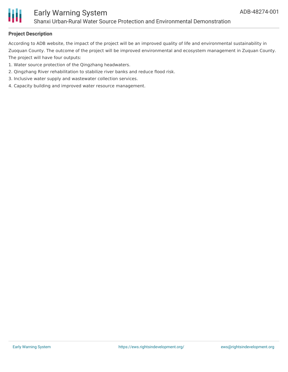

### **Project Description**

According to ADB website, the impact of the project will be an improved quality of life and environmental sustainability in Zuoquan County. The outcome of the project will be improved environmental and ecosystem management in Zuquan County. The project will have four outputs:

- 1. Water source protection of the Qingzhang headwaters.
- 2. Qingzhang River rehabilitation to stabilize river banks and reduce flood risk.
- 3. Inclusive water supply and wastewater collection services.
- 4. Capacity building and improved water resource management.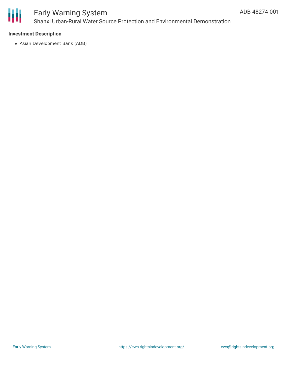

### **Investment Description**

Asian Development Bank (ADB)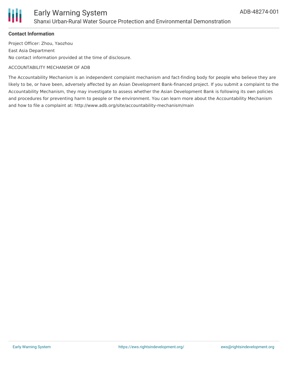

### **Contact Information**

Project Officer: Zhou, Yaozhou East Asia Department No contact information provided at the time of disclosure.

#### ACCOUNTABILITY MECHANISM OF ADB

The Accountability Mechanism is an independent complaint mechanism and fact-finding body for people who believe they are likely to be, or have been, adversely affected by an Asian Development Bank-financed project. If you submit a complaint to the Accountability Mechanism, they may investigate to assess whether the Asian Development Bank is following its own policies and procedures for preventing harm to people or the environment. You can learn more about the Accountability Mechanism and how to file a complaint at: http://www.adb.org/site/accountability-mechanism/main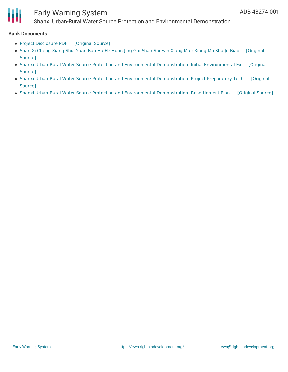

## Early Warning System

Shanxi Urban-Rural Water Source Protection and Environmental Demonstration

#### **Bank Documents**

- Project [Disclosure](https://ewsdata.rightsindevelopment.org/files/documents/01/ADB-48274-001.pdf) PDF [\[Original](https://www.adb.org/printpdf/projects/48274-001/main) Source]
- Shan Xi [Cheng](https://ewsdata.rightsindevelopment.org/files/documents/01/ADB-48274-001_GXQDUFG.pdf) Xiang Shui Yuan Bao Hu He Huan Jing Gai Shan Shi Fan Xiang Mu : Xiang Mu Shu Ju Biao [\[Original](https://www.adb.org/zh/projects/documents/48274-001-project-data-sheet) Source]
- Shanxi Urban-Rural Water Source Protection and Environmental [Demonstration:](https://www.adb.org/projects/documents/prc-shanxi-urban-rural-water-source-protection-and-environmental-demo-nov-2016-iee) Initial Environmental Ex [Original Source]
- Shanxi Urban-Rural Water Source Protection and Environmental [Demonstration:](https://www.adb.org/projects/documents/prc-shanxi-urban-rural-water-source-protection-and-environmental-demonstration-pptar) Project Preparatory Tech [Original Source]
- Shanxi Urban-Rural Water Source Protection and Environmental [Demonstration:](https://ewsdata.rightsindevelopment.org/files/documents/01/ADB-48274-001_VLroeDG.pdf) Resettlement Plan [\[Original](https://www.adb.org/projects/documents/prc-shanxi-urban-rural-water-source-protection-and-environmental-demo-nov-2016-rp) Source]